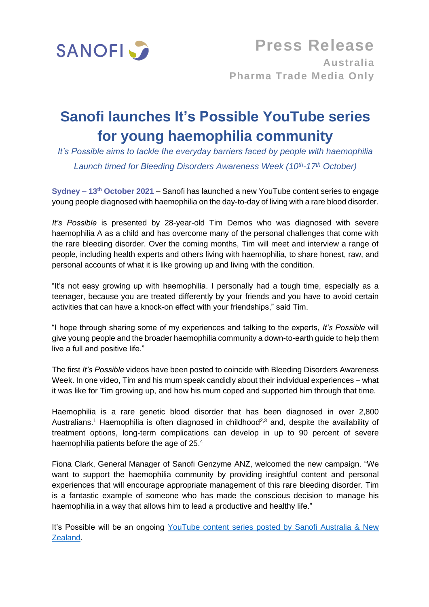

## **Sanofi launches It's Possible YouTube series for young haemophilia community**

*It's Possible aims to tackle the everyday barriers faced by people with haemophilia Launch timed for Bleeding Disorders Awareness Week (10th-17th October)* 

**Sydney – 13th October 2021** – Sanofi has launched a new YouTube content series to engage young people diagnosed with haemophilia on the day-to-day of living with a rare blood disorder.

*It's Possible* is presented by 28-year-old Tim Demos who was diagnosed with severe haemophilia A as a child and has overcome many of the personal challenges that come with the rare bleeding disorder. Over the coming months, Tim will meet and interview a range of people, including health experts and others living with haemophilia, to share honest, raw, and personal accounts of what it is like growing up and living with the condition.

"It's not easy growing up with haemophilia. I personally had a tough time, especially as a teenager, because you are treated differently by your friends and you have to avoid certain activities that can have a knock-on effect with your friendships," said Tim.

"I hope through sharing some of my experiences and talking to the experts, *It's Possible* will give young people and the broader haemophilia community a down-to-earth guide to help them live a full and positive life."

The first *It's Possible* videos have been posted to coincide with Bleeding Disorders Awareness Week. In one video, Tim and his mum speak candidly about their individual experiences – what it was like for Tim growing up, and how his mum coped and supported him through that time.

Haemophilia is a rare genetic blood disorder that has been diagnosed in over 2,800 Australians.<sup>1</sup> Haemophilia is often diagnosed in childhood<sup>2,3</sup> and, despite the availability of treatment options, long-term complications can develop in up to 90 percent of severe haemophilia patients before the age of 25.4

Fiona Clark, General Manager of Sanofi Genzyme ANZ, welcomed the new campaign. "We want to support the haemophilia community by providing insightful content and personal experiences that will encourage appropriate management of this rare bleeding disorder. Tim is a fantastic example of someone who has made the conscious decision to manage his haemophilia in a way that allows him to lead a productive and healthy life."

It's Possible will be an ongoing [YouTube content series posted](https://www.youtube.com/playlist?list=PLk4eHe_xTm79BIVBuNR7CiU1Oxm5Xmcj2) by Sanofi Australia & New [Zealand.](https://www.youtube.com/playlist?list=PLk4eHe_xTm79BIVBuNR7CiU1Oxm5Xmcj2)